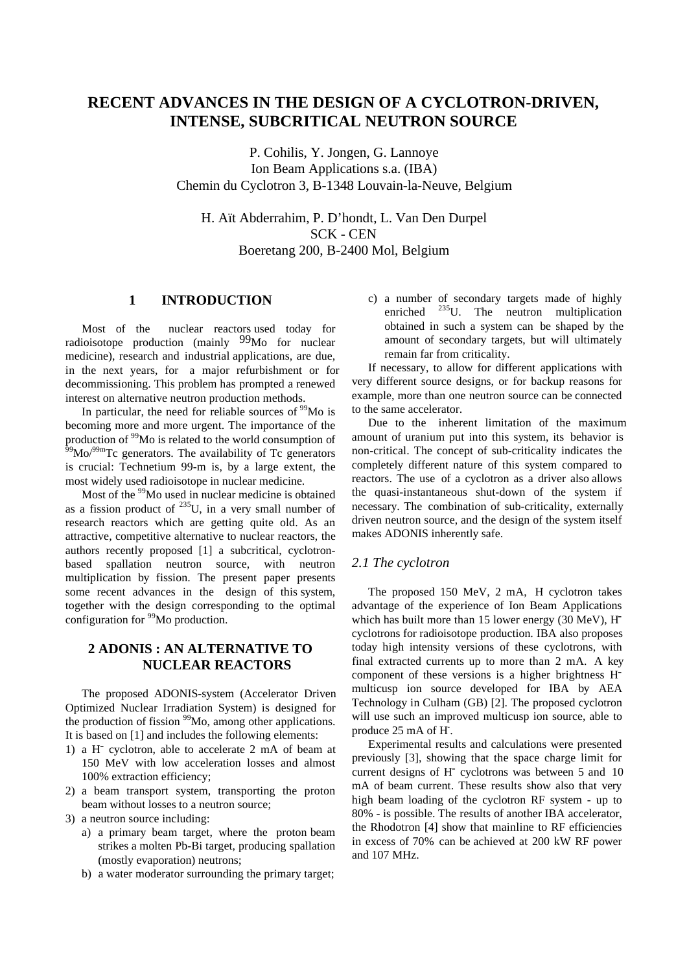# **RECENT ADVANCES IN THE DESIGN OF A CYCLOTRON-DRIVEN, INTENSE, SUBCRITICAL NEUTRON SOURCE**

P. Cohilis, Y. Jongen, G. Lannoye Ion Beam Applications s.a. (IBA) Chemin du Cyclotron 3, B-1348 Louvain-la-Neuve, Belgium

H. Aït Abderrahim, P. D'hondt, L. Van Den Durpel SCK - CEN Boeretang 200, B-2400 Mol, Belgium

# **1 INTRODUCTION**

Most of the nuclear reactors used today for radioisotope production (mainly 99Mo for nuclear medicine), research and industrial applications, are due, in the next years, for a major refurbishment or for decommissioning. This problem has prompted a renewed interest on alternative neutron production methods.

In particular, the need for reliable sources of  $\frac{99}{90}$  is becoming more and more urgent. The importance of the production of 99Mo is related to the world consumption of  $^{59}$ Mo/ $^{99m}$ Tc generators. The availability of Tc generators is crucial: Technetium 99-m is, by a large extent, the most widely used radioisotope in nuclear medicine.

Most of the <sup>99</sup>Mo used in nuclear medicine is obtained as a fission product of  $^{235}$ U, in a very small number of research reactors which are getting quite old. As an attractive, competitive alternative to nuclear reactors, the authors recently proposed [1] a subcritical, cyclotronbased spallation neutron source, with neutron multiplication by fission. The present paper presents some recent advances in the design of this system, together with the design corresponding to the optimal configuration for <sup>99</sup>Mo production.

## **2 ADONIS : AN ALTERNATIVE TO NUCLEAR REACTORS**

The proposed ADONIS-system (Accelerator Driven Optimized Nuclear Irradiation System) is designed for the production of fission <sup>99</sup>Mo, among other applications. It is based on [1] and includes the following elements:

- 1) a H- cyclotron, able to accelerate 2 mA of beam at 150 MeV with low acceleration losses and almost 100% extraction efficiency;
- 2) a beam transport system, transporting the proton beam without losses to a neutron source;
- 3) a neutron source including:
	- a) a primary beam target, where the proton beam strikes a molten Pb-Bi target, producing spallation (mostly evaporation) neutrons;
	- b) a water moderator surrounding the primary target;

c) a number of secondary targets made of highly enriched <sup>235</sup>U. The neutron multiplication obtained in such a system can be shaped by the amount of secondary targets, but will ultimately remain far from criticality.

If necessary, to allow for different applications with very different source designs, or for backup reasons for example, more than one neutron source can be connected to the same accelerator.

Due to the inherent limitation of the maximum amount of uranium put into this system, its behavior is non-critical. The concept of sub-criticality indicates the completely different nature of this system compared to reactors. The use of a cyclotron as a driver also allows the quasi-instantaneous shut-down of the system if necessary. The combination of sub-criticality, externally driven neutron source, and the design of the system itself makes ADONIS inherently safe.

### *2.1 The cyclotron*

The proposed 150 MeV, 2 mA, H cyclotron takes advantage of the experience of Ion Beam Applications which has built more than 15 lower energy (30 MeV), H<sup>-</sup> cyclotrons for radioisotope production. IBA also proposes today high intensity versions of these cyclotrons, with final extracted currents up to more than 2 mA. A key component of these versions is a higher brightness Hmulticusp ion source developed for IBA by AEA Technology in Culham (GB) [2]. The proposed cyclotron will use such an improved multicusp ion source, able to produce 25 mA of H.

Experimental results and calculations were presented previously [3], showing that the space charge limit for current designs of H<sup>-</sup> cyclotrons was between 5 and 10 mA of beam current. These results show also that very high beam loading of the cyclotron RF system - up to 80% - is possible. The results of another IBA accelerator, the Rhodotron [4] show that mainline to RF efficiencies in excess of 70% can be achieved at 200 kW RF power and 107 MHz.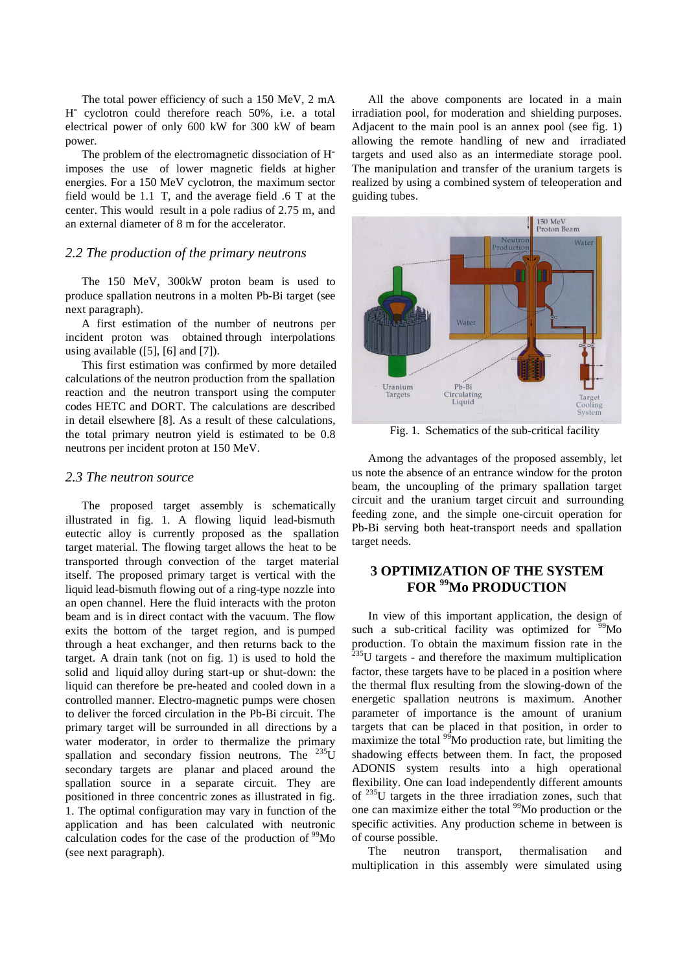The total power efficiency of such a 150 MeV, 2 mA H- cyclotron could therefore reach 50%, i.e. a total electrical power of only 600 kW for 300 kW of beam power.

The problem of the electromagnetic dissociation of Himposes the use of lower magnetic fields at higher energies. For a 150 MeV cyclotron, the maximum sector field would be 1.1 T, and the average field .6 T at the center. This would result in a pole radius of 2.75 m, and an external diameter of 8 m for the accelerator.

#### *2.2 The production of the primary neutrons*

The 150 MeV, 300kW proton beam is used to produce spallation neutrons in a molten Pb-Bi target (see next paragraph).

A first estimation of the number of neutrons per incident proton was obtained through interpolations using available  $([5], [6]$  and  $[7]$ ).

This first estimation was confirmed by more detailed calculations of the neutron production from the spallation reaction and the neutron transport using the computer codes HETC and DORT. The calculations are described in detail elsewhere [8]. As a result of these calculations, the total primary neutron yield is estimated to be 0.8 neutrons per incident proton at 150 MeV.

#### *2.3 The neutron source*

The proposed target assembly is schematically illustrated in fig. 1. A flowing liquid lead-bismuth eutectic alloy is currently proposed as the spallation target material. The flowing target allows the heat to be transported through convection of the target material itself. The proposed primary target is vertical with the liquid lead-bismuth flowing out of a ring-type nozzle into an open channel. Here the fluid interacts with the proton beam and is in direct contact with the vacuum. The flow exits the bottom of the target region, and is pumped through a heat exchanger, and then returns back to the target. A drain tank (not on fig. 1) is used to hold the solid and liquid alloy during start-up or shut-down: the liquid can therefore be pre-heated and cooled down in a controlled manner. Electro-magnetic pumps were chosen to deliver the forced circulation in the Pb-Bi circuit. The primary target will be surrounded in all directions by a water moderator, in order to thermalize the primary spallation and secondary fission neutrons. The  $^{235}U$ secondary targets are planar and placed around the spallation source in a separate circuit. They are positioned in three concentric zones as illustrated in fig. 1. The optimal configuration may vary in function of the application and has been calculated with neutronic calculation codes for the case of the production of  $\rm^{99}Mo$ (see next paragraph).

All the above components are located in a main irradiation pool, for moderation and shielding purposes. Adjacent to the main pool is an annex pool (see fig. 1) allowing the remote handling of new and irradiated targets and used also as an intermediate storage pool. The manipulation and transfer of the uranium targets is realized by using a combined system of teleoperation and guiding tubes.



Fig. 1. Schematics of the sub-critical facility

Among the advantages of the proposed assembly, let us note the absence of an entrance window for the proton beam, the uncoupling of the primary spallation target circuit and the uranium target circuit and surrounding feeding zone, and the simple one-circuit operation for Pb-Bi serving both heat-transport needs and spallation target needs.

# **3 OPTIMIZATION OF THE SYSTEM FOR 99Mo PRODUCTION**

In view of this important application, the design of such a sub-critical facility was optimized for  $\frac{99}{90}$ Mo production. To obtain the maximum fission rate in the  $^{235}$ U targets - and therefore the maximum multiplication factor, these targets have to be placed in a position where the thermal flux resulting from the slowing-down of the energetic spallation neutrons is maximum. Another parameter of importance is the amount of uranium targets that can be placed in that position, in order to maximize the total  $\frac{99}{9}$ Mo production rate, but limiting the shadowing effects between them. In fact, the proposed ADONIS system results into a high operational flexibility. One can load independently different amounts of 235U targets in the three irradiation zones, such that one can maximize either the total <sup>99</sup>Mo production or the specific activities. Any production scheme in between is of course possible.

The neutron transport, thermalisation and multiplication in this assembly were simulated using